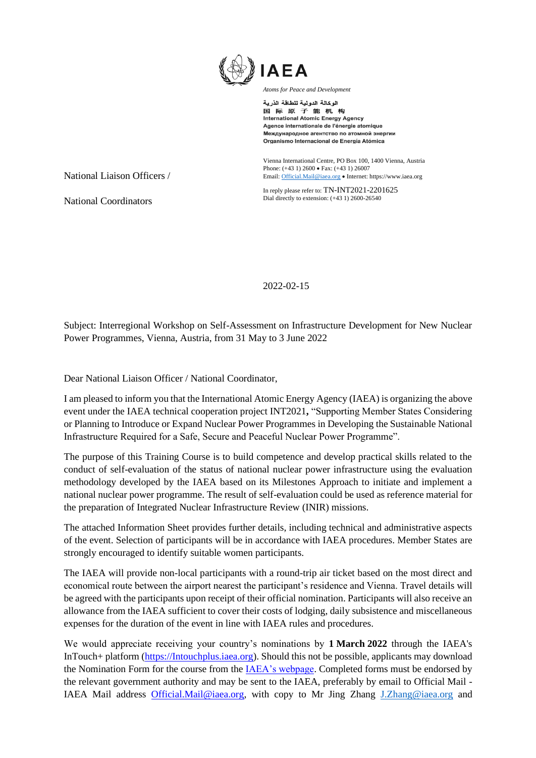

الوكالة الدولية للطاقة الذرية 国际原子能机构 **International Atomic Energy Agency** Agence internationale de l'énergie atomique Международное агентство по атомной энергии Organismo Internacional de Energía Atómica

Vienna International Centre, PO Box 100, 1400 Vienna, Austria Phone: (+43 1) 2600 • Fax: (+43 1) 26007 Email[: Official.Mail@iaea.org](mailto:official.mail@iaea.org) • Internet[: https://www.iaea.org](https://www.iaea.org/)

In reply please refer to: TN-INT2021-2201625 Dial directly to extension: (+43 1) 2600-26540

2022-02-15

Subject: Interregional Workshop on Self-Assessment on Infrastructure Development for New Nuclear Power Programmes, Vienna, Austria, from 31 May to 3 June 2022

Dear National Liaison Officer / National Coordinator,

I am pleased to inform you that the International Atomic Energy Agency (IAEA) is organizing the above event under the IAEA technical cooperation project INT2021**,** "Supporting Member States Considering or Planning to Introduce or Expand Nuclear Power Programmes in Developing the Sustainable National Infrastructure Required for a Safe, Secure and Peaceful Nuclear Power Programme".

The purpose of this Training Course is to build competence and develop practical skills related to the conduct of self-evaluation of the status of national nuclear power infrastructure using the evaluation methodology developed by the IAEA based on its Milestones Approach to initiate and implement a national nuclear power programme. The result of self-evaluation could be used as reference material for the preparation of Integrated Nuclear Infrastructure Review (INIR) missions.

The attached Information Sheet provides further details, including technical and administrative aspects of the event. Selection of participants will be in accordance with IAEA procedures. Member States are strongly encouraged to identify suitable women participants.

The IAEA will provide non-local participants with a round-trip air ticket based on the most direct and economical route between the airport nearest the participant's residence and Vienna. Travel details will be agreed with the participants upon receipt of their official nomination. Participants will also receive an allowance from the IAEA sufficient to cover their costs of lodging, daily subsistence and miscellaneous expenses for the duration of the event in line with IAEA rules and procedures.

We would appreciate receiving your country's nominations by **1 March 2022** through the IAEA's InTouch+ platform [\(https://Intouchplus.iaea.org\)](https://intouchplus.iaea.org/). Should this not be possible, applicants may download the Nomination Form for the course from th[e IAEA's webpage.](https://www.iaea.org/services/technical-cooperation-programme/how-to-participate) Completed forms must be endorsed by the relevant government authority and may be sent to the IAEA, preferably by email to Official Mail - IAEA Mail address [Official.Mail@iaea.org,](mailto:Official.Mail@iaea.org) with copy to Mr Jing Zhang [J.Zhang@iaea.org](mailto:J.Zhang@iaea.org) and

National Liaison Officers /

National Coordinators